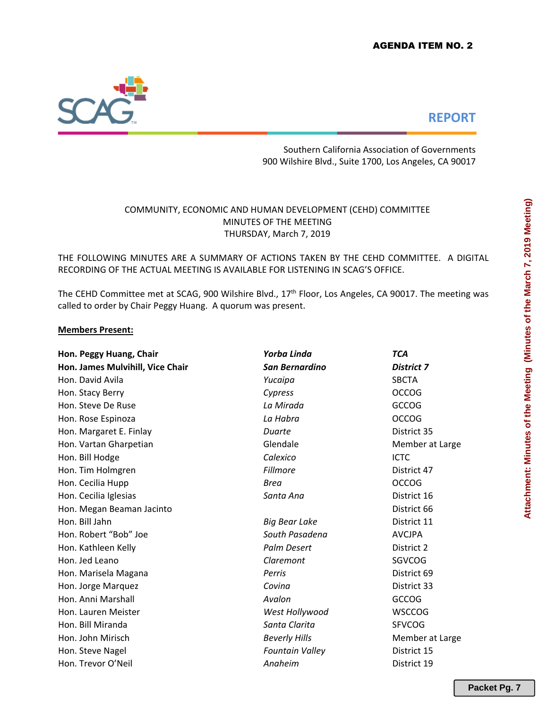

# **REPORT**

Southern California Association of Governments 900 Wilshire Blvd., Suite 1700, Los Angeles, CA 90017

## COMMUNITY, ECONOMIC AND HUMAN DEVELOPMENT (CEHD) COMMITTEE MINUTES OF THE MEETING THURSDAY, March 7, 2019

THE FOLLOWING MINUTES ARE A SUMMARY OF ACTIONS TAKEN BY THE CEHD COMMITTEE. A DIGITAL RECORDING OF THE ACTUAL MEETING IS AVAILABLE FOR LISTENING IN SCAG'S OFFICE.

The CEHD Committee met at SCAG, 900 Wilshire Blvd., 17<sup>th</sup> Floor, Los Angeles, CA 90017. The meeting was called to order by Chair Peggy Huang. A quorum was present.

## **Members Present:**

| Hon. Peggy Huang, Chair          | Yorba Linda            | <b>TCA</b>        |
|----------------------------------|------------------------|-------------------|
| Hon. James Mulvihill, Vice Chair | <b>San Bernardino</b>  | <b>District 7</b> |
| Hon. David Avila                 | Yucaipa                | <b>SBCTA</b>      |
| Hon. Stacy Berry                 | Cypress                | <b>OCCOG</b>      |
| Hon. Steve De Ruse               | La Mirada              | GCCOG             |
| Hon. Rose Espinoza               | La Habra               | <b>OCCOG</b>      |
| Hon. Margaret E. Finlay          | Duarte                 | District 35       |
| Hon. Vartan Gharpetian           | Glendale               | Member at Large   |
| Hon. Bill Hodge                  | Calexico               | <b>ICTC</b>       |
| Hon. Tim Holmgren                | <b>Fillmore</b>        | District 47       |
| Hon. Cecilia Hupp                | <b>Brea</b>            | <b>OCCOG</b>      |
| Hon. Cecilia Iglesias            | Santa Ana              | District 16       |
| Hon. Megan Beaman Jacinto        |                        | District 66       |
| Hon. Bill Jahn                   | Big Bear Lake          | District 11       |
| Hon. Robert "Bob" Joe            | South Pasadena         | <b>AVCJPA</b>     |
| Hon. Kathleen Kelly              | <b>Palm Desert</b>     | District 2        |
| Hon. Jed Leano                   | Claremont              | SGVCOG            |
| Hon. Marisela Magana             | Perris                 | District 69       |
| Hon. Jorge Marquez               | Covina                 | District 33       |
| Hon. Anni Marshall               | Avalon                 | <b>GCCOG</b>      |
| Hon. Lauren Meister              | West Hollywood         | <b>WSCCOG</b>     |
| Hon. Bill Miranda                | Santa Clarita          | <b>SFVCOG</b>     |
| Hon. John Mirisch                | <b>Beverly Hills</b>   | Member at Large   |
| Hon. Steve Nagel                 | <b>Fountain Valley</b> | District 15       |
| Hon. Trevor O'Neil               | Anaheim                | District 19       |

**Packet Pg. 7**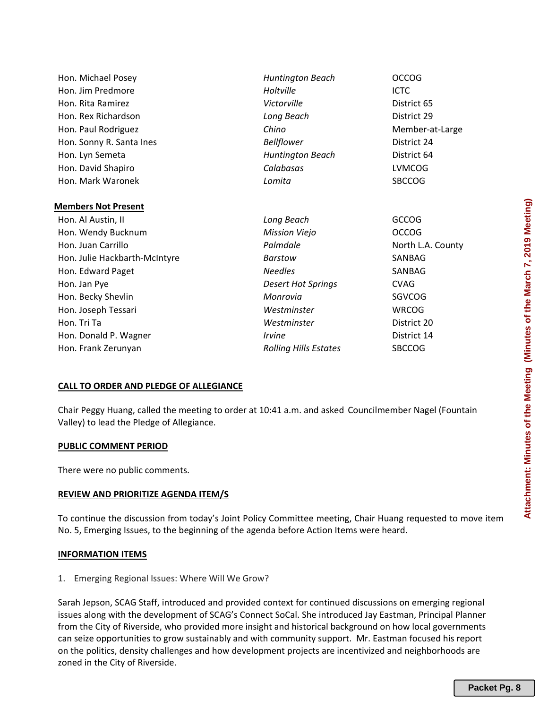| Hon. Michael Posey            | <b>Huntington Beach</b>      | <b>OCCOG</b>      |
|-------------------------------|------------------------------|-------------------|
| Hon. Jim Predmore             | Holtville                    | <b>ICTC</b>       |
| Hon. Rita Ramirez             | Victorville                  | District 65       |
| Hon. Rex Richardson           | Long Beach                   | District 29       |
| Hon. Paul Rodriguez           | Chino                        | Member-at-Large   |
| Hon. Sonny R. Santa Ines      | <b>Bellflower</b>            | District 24       |
| Hon. Lyn Semeta               | <b>Huntington Beach</b>      | District 64       |
| Hon. David Shapiro            | Calabasas                    | <b>LVMCOG</b>     |
| Hon. Mark Waronek             | Lomita                       | <b>SBCCOG</b>     |
|                               |                              |                   |
| <b>Members Not Present</b>    |                              |                   |
| Hon. Al Austin, II            | Long Beach                   | <b>GCCOG</b>      |
| Hon. Wendy Bucknum            | <b>Mission Viejo</b>         | <b>OCCOG</b>      |
| Hon. Juan Carrillo            | Palmdale                     | North L.A. County |
| Hon. Julie Hackbarth-McIntyre | <b>Barstow</b>               | SANBAG            |
| Hon. Edward Paget             | <b>Needles</b>               | SANBAG            |
| Hon. Jan Pye                  | <b>Desert Hot Springs</b>    | <b>CVAG</b>       |
| Hon. Becky Shevlin            | Monrovia                     | SGVCOG            |
| Hon. Joseph Tessari           | Westminster                  | <b>WRCOG</b>      |
| Hon. Tri Ta                   | Westminster                  | District 20       |
| Hon. Donald P. Wagner         | <i><u><b>Irvine</b></u></i>  | District 14       |
| Hon. Frank Zerunyan           | <b>Rolling Hills Estates</b> | <b>SBCCOG</b>     |
|                               |                              |                   |

## **CALL TO ORDER AND PLEDGE OF ALLEGIANCE**

Chair Peggy Huang, called the meeting to order at 10:41 a.m. and asked Councilmember Nagel (Fountain Valley) to lead the Pledge of Allegiance.

#### **PUBLIC COMMENT PERIOD**

There were no public comments.

#### **REVIEW AND PRIORITIZE AGENDA ITEM/S**

To continue the discussion from today's Joint Policy Committee meeting, Chair Huang requested to move item No. 5, Emerging Issues, to the beginning of the agenda before Action Items were heard.

#### **INFORMATION ITEMS**

#### 1. Emerging Regional Issues: Where Will We Grow?

Sarah Jepson, SCAG Staff, introduced and provided context for continued discussions on emerging regional issues along with the development of SCAG's Connect SoCal. She introduced Jay Eastman, Principal Planner from the City of Riverside, who provided more insight and historical background on how local governments can seize opportunities to grow sustainably and with community support. Mr. Eastman focused his report on the politics, density challenges and how development projects are incentivized and neighborhoods are zoned in the City of Riverside.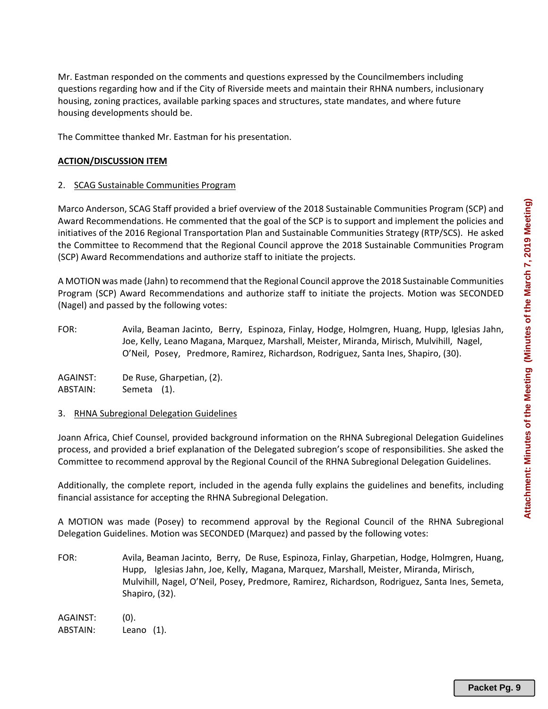Mr. Eastman responded on the comments and questions expressed by the Councilmembers including questions regarding how and if the City of Riverside meets and maintain their RHNA numbers, inclusionary housing, zoning practices, available parking spaces and structures, state mandates, and where future housing developments should be.

The Committee thanked Mr. Eastman for his presentation.

## **ACTION/DISCUSSION ITEM**

## 2. SCAG Sustainable Communities Program

Marco Anderson, SCAG Staff provided a brief overview of the 2018 Sustainable Communities Program (SCP) and Award Recommendations. He commented that the goal of the SCP is to support and implement the policies and initiatives of the 2016 Regional Transportation Plan and Sustainable Communities Strategy (RTP/SCS). He asked the Committee to Recommend that the Regional Council approve the 2018 Sustainable Communities Program (SCP) Award Recommendations and authorize staff to initiate the projects.

A MOTION was made (Jahn) to recommend that the Regional Council approve the 2018 Sustainable Communities Program (SCP) Award Recommendations and authorize staff to initiate the projects. Motion was SECONDED (Nagel) and passed by the following votes:

FOR: Avila, Beaman Jacinto, Berry, Espinoza, Finlay, Hodge, Holmgren, Huang, Hupp, Iglesias Jahn, Joe, Kelly, Leano Magana, Marquez, Marshall, Meister, Miranda, Mirisch, Mulvihill, Nagel, O'Neil, Posey, Predmore, Ramirez, Richardson, Rodriguez, Santa Ines, Shapiro, (30).

AGAINST: De Ruse, Gharpetian, (2). ABSTAIN: Semeta (1).

#### 3. RHNA Subregional Delegation Guidelines

Joann Africa, Chief Counsel, provided background information on the RHNA Subregional Delegation Guidelines process, and provided a brief explanation of the Delegated subregion's scope of responsibilities. She asked the Committee to recommend approval by the Regional Council of the RHNA Subregional Delegation Guidelines.

Additionally, the complete report, included in the agenda fully explains the guidelines and benefits, including financial assistance for accepting the RHNA Subregional Delegation.

A MOTION was made (Posey) to recommend approval by the Regional Council of the RHNA Subregional Delegation Guidelines. Motion was SECONDED (Marquez) and passed by the following votes:

FOR: Avila, Beaman Jacinto, Berry, De Ruse, Espinoza, Finlay, Gharpetian, Hodge, Holmgren, Huang, Hupp, Iglesias Jahn, Joe, Kelly, Magana, Marquez, Marshall, Meister, Miranda, Mirisch, Mulvihill, Nagel, O'Neil, Posey, Predmore, Ramirez, Richardson, Rodriguez, Santa Ines, Semeta, Shapiro, (32).

AGAINST: (0). ABSTAIN: Leano (1).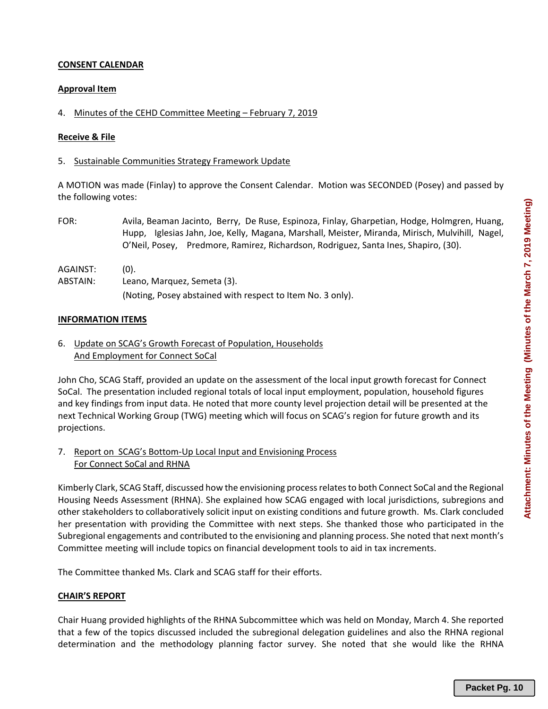## **CONSENT CALENDAR**

#### **Approval Item**

#### 4. Minutes of the CEHD Committee Meeting – February 7, 2019

#### **Receive & File**

#### 5. Sustainable Communities Strategy Framework Update

A MOTION was made (Finlay) to approve the Consent Calendar. Motion was SECONDED (Posey) and passed by the following votes:

FOR: Avila, Beaman Jacinto, Berry, De Ruse, Espinoza, Finlay, Gharpetian, Hodge, Holmgren, Huang, Hupp, Iglesias Jahn, Joe, Kelly, Magana, Marshall, Meister, Miranda, Mirisch, Mulvihill, Nagel, O'Neil, Posey, Predmore, Ramirez, Richardson, Rodriguez, Santa Ines, Shapiro, (30).

AGAINST: (0).

ABSTAIN: Leano, Marquez, Semeta (3).

(Noting, Posey abstained with respect to Item No. 3 only).

#### **INFORMATION ITEMS**

6. Update on SCAG's Growth Forecast of Population, Households And Employment for Connect SoCal

John Cho, SCAG Staff, provided an update on the assessment of the local input growth forecast for Connect SoCal. The presentation included regional totals of local input employment, population, household figures and key findings from input data. He noted that more county level projection detail will be presented at the next Technical Working Group (TWG) meeting which will focus on SCAG's region for future growth and its projections.

## 7. Report on SCAG's Bottom‐Up Local Input and Envisioning Process For Connect SoCal and RHNA

Kimberly Clark, SCAG Staff, discussed how the envisioning process relates to both Connect SoCal and the Regional Housing Needs Assessment (RHNA). She explained how SCAG engaged with local jurisdictions, subregions and other stakeholders to collaboratively solicit input on existing conditions and future growth. Ms. Clark concluded her presentation with providing the Committee with next steps. She thanked those who participated in the Subregional engagements and contributed to the envisioning and planning process. She noted that next month's Committee meeting will include topics on financial development tools to aid in tax increments.

The Committee thanked Ms. Clark and SCAG staff for their efforts.

#### **CHAIR'S REPORT**

Chair Huang provided highlights of the RHNA Subcommittee which was held on Monday, March 4. She reported that a few of the topics discussed included the subregional delegation guidelines and also the RHNA regional determination and the methodology planning factor survey. She noted that she would like the RHNA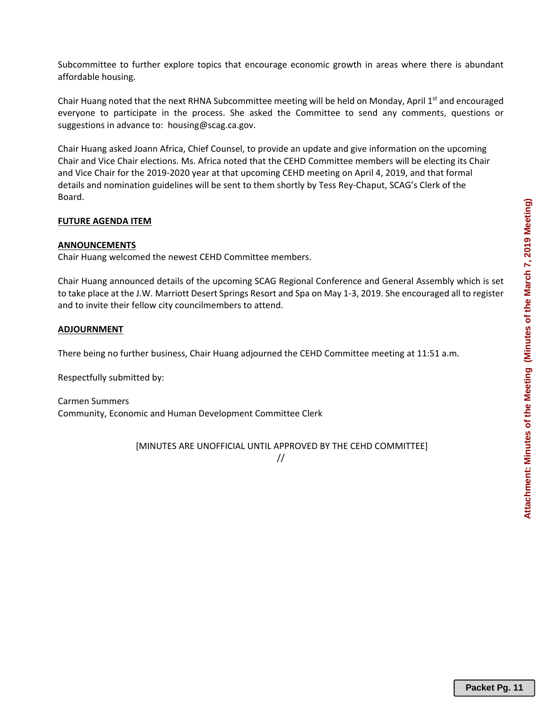Subcommittee to further explore topics that encourage economic growth in areas where there is abundant affordable housing.

Chair Huang noted that the next RHNA Subcommittee meeting will be held on Monday, April  $1<sup>st</sup>$  and encouraged everyone to participate in the process. She asked the Committee to send any comments, questions or suggestions in advance to: housing@scag.ca.gov.

Chair Huang asked Joann Africa, Chief Counsel, to provide an update and give information on the upcoming Chair and Vice Chair elections. Ms. Africa noted that the CEHD Committee members will be electing its Chair and Vice Chair for the 2019‐2020 year at that upcoming CEHD meeting on April 4, 2019, and that formal details and nomination guidelines will be sent to them shortly by Tess Rey‐Chaput, SCAG's Clerk of the Board.

## **FUTURE AGENDA ITEM**

## **ANNOUNCEMENTS**

Chair Huang welcomed the newest CEHD Committee members.

Chair Huang announced details of the upcoming SCAG Regional Conference and General Assembly which is set to take place at the J.W. Marriott Desert Springs Resort and Spa on May 1‐3, 2019. She encouraged all to register and to invite their fellow city councilmembers to attend.

## **ADJOURNMENT**

There being no further business, Chair Huang adjourned the CEHD Committee meeting at 11:51 a.m.

Respectfully submitted by:

Carmen Summers Community, Economic and Human Development Committee Clerk

[MINUTES ARE UNOFFICIAL UNTIL APPROVED BY THE CEHD COMMITTEE]

//